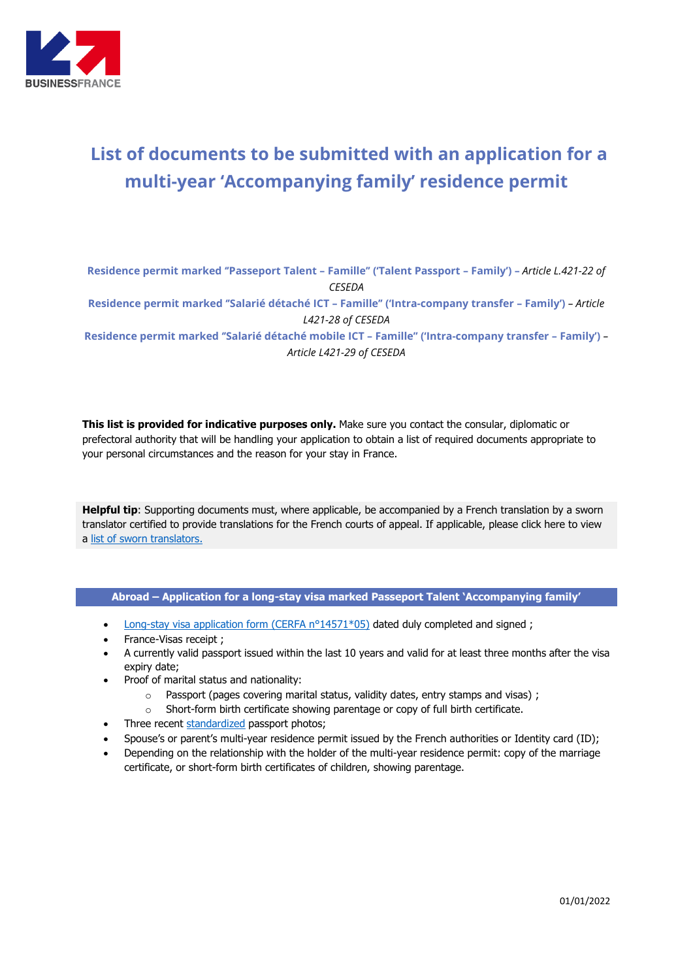

## **List of documents to be submitted with an application for a multi-year 'Accompanying family' residence permit**

**Residence permit marked ''Passeport Talent – Famille'' ('Talent Passport – Family') –** *Article L.421-22 of CESEDA*

**Residence permit marked ''Salarié détaché ICT – Famille'' ('Intra-company transfer – Family')** *– Article L421-28 of CESEDA*

**Residence permit marked ''Salarié détaché mobile ICT – Famille'' ('Intra-company transfer – Family')** *– Article L421-29 of CESEDA*

**This list is provided for indicative purposes only.** Make sure you contact the consular, diplomatic or prefectoral authority that will be handling your application to obtain a list of required documents appropriate to your personal circumstances and the reason for your stay in France.

**Helpful tip**: Supporting documents must, where applicable, be accompanied by a French translation by a sworn translator certified to provide translations for the French courts of appeal. If applicable, please click here to view a [list of sworn translators.](http://www.annuaire-traducteur-assermente.fr/)

## **Abroad – Application for a long-stay visa marked Passeport Talent 'Accompanying family'**

- [Long-stay visa application form \(CERFA n°14571\\*05\)](https://www.service-public.fr/simulateur/calcul/14571) dated duly completed and signed ;
- France-Visas receipt ;
- A currently valid passport issued within the last 10 years and valid for at least three months after the visa expiry date;
- Proof of marital status and nationality:
	- o Passport (pages covering marital status, validity dates, entry stamps and visas) ;
	- o Short-form birth certificate showing parentage or copy of full birth certificate.
- Three recent [standardized](http://www.diplomatie.gouv.fr/fr/IMG/pdf/Normes_des_photos_visas_-_exemples.pdf) passport photos;
- Spouse's or parent's multi-year residence permit issued by the French authorities or Identity card (ID);
- Depending on the relationship with the holder of the multi-year residence permit: copy of the marriage certificate, or short-form birth certificates of children, showing parentage.